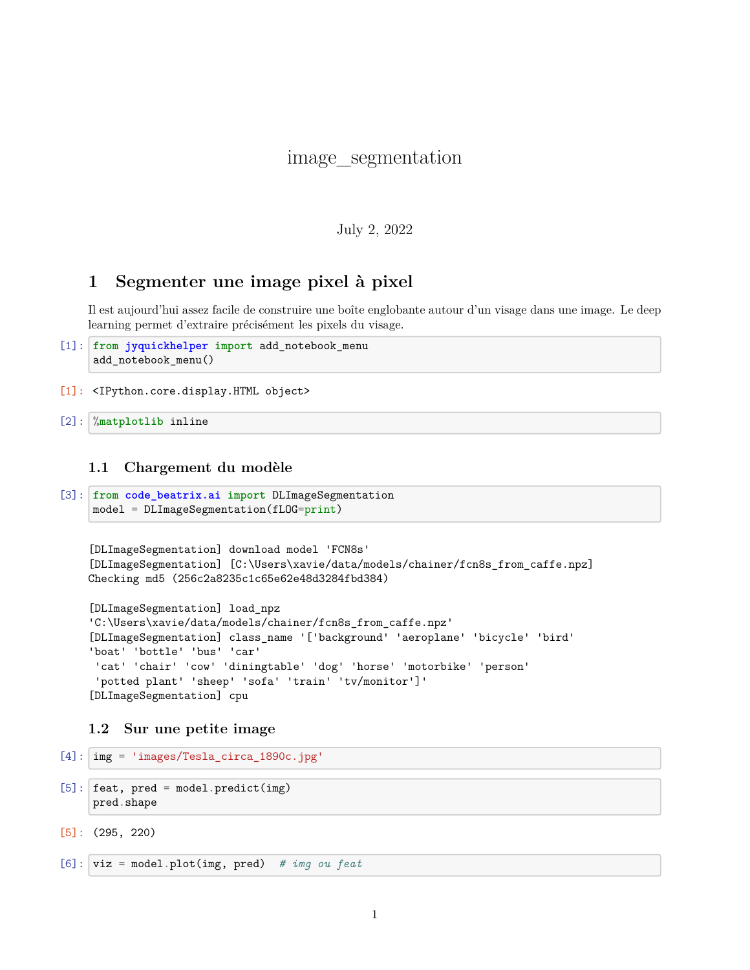# image\_segmentation

July 2, 2022

# **1 Segmenter une image pixel à pixel**

Il est aujourd'hui assez facile de construire une boîte englobante autour d'un visage dans une image. Le deep learning permet d'extraire précisément les pixels du visage.

```
[1]: from jyquickhelper import add_notebook_menu
     add_notebook_menu()
```
[1]: <IPython.core.display.HTML object>

[2]: %**matplotlib** inline

#### **1.1 Chargement du modèle**

```
[3]: from code_beatrix.ai import DLImageSegmentation
     model = DLImageSegmentation(fLOG=print)
```

```
[DLImageSegmentation] download model 'FCN8s'
[DLImageSegmentation] [C:\Users\xavie/data/models/chainer/fcn8s_from_caffe.npz]
Checking md5 (256c2a8235c1c65e62e48d3284fbd384)
```

```
[DLImageSegmentation] load_npz
'C:\Users\xavie/data/models/chainer/fcn8s_from_caffe.npz'
[DLImageSegmentation] class_name '['background' 'aeroplane' 'bicycle' 'bird'
'boat' 'bottle' 'bus' 'car'
'cat' 'chair' 'cow' 'diningtable' 'dog' 'horse' 'motorbike' 'person'
'potted plant' 'sheep' 'sofa' 'train' 'tv/monitor']'
[DLImageSegmentation] cpu
```
## **1.2 Sur une petite image**

```
[4]: img = 'images/Tesla circa 1890c.jpg'
```

```
[5]: feat, pred = model.predict(img)
     pred.shape
```

```
[5]: (295, 220)
```
[6]: viz = model.plot(img, pred) *# img ou feat*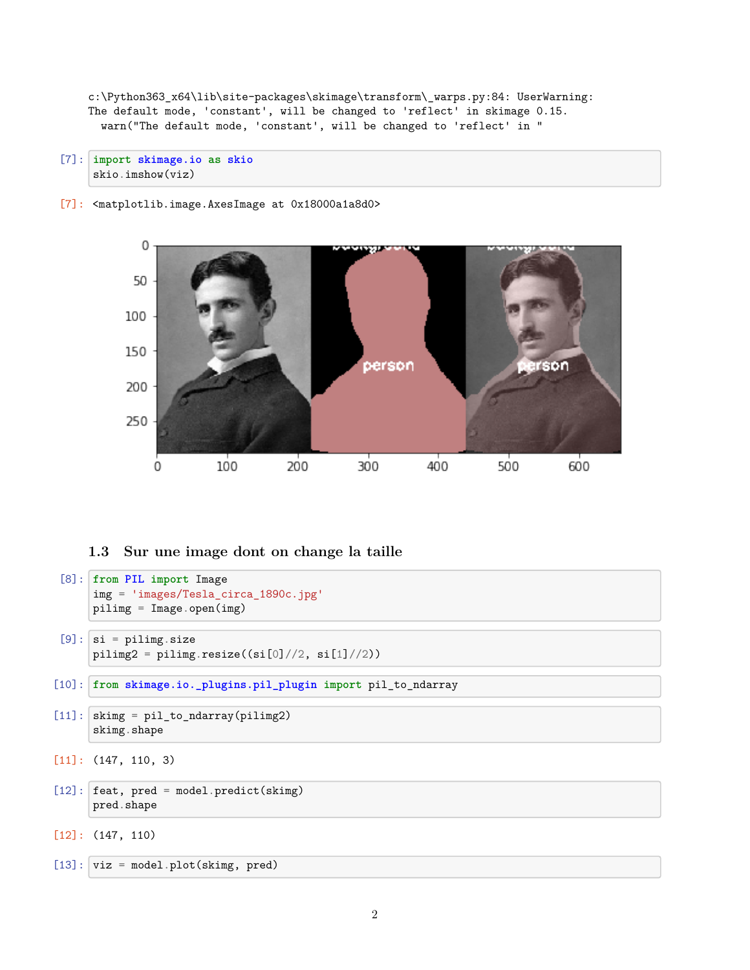c:\Python363\_x64\lib\site-packages\skimage\transform\\_warps.py:84: UserWarning: The default mode, 'constant', will be changed to 'reflect' in skimage 0.15. warn("The default mode, 'constant', will be changed to 'reflect' in "

[7]: **import skimage.io as skio** skio.imshow(viz)

[7]: <matplotlib.image.AxesImage at 0x18000a1a8d0>



### **1.3 Sur une image dont on change la taille**

```
[8]: from PIL import Image
      img = 'images/Tesla_circa_1890c.jpg'
      pilimg = Image.open(img)
 [9]: \vert si = pilimg.size
      piling2 = piling.resize((si[0]//2, si[1]//2))[10]: from skimage.io._plugins.pil_plugin import pil_to_ndarray
[11]: skimg = pil_to_ndarray(pilimg2)
      skimg.shape
[11]: (147, 110, 3)
[12]: feat, pred = model.predict(skimg)
      pred.shape
```

```
[12]: (147, 110)
```
 $[13]$ : viz = model.plot(skimg, pred)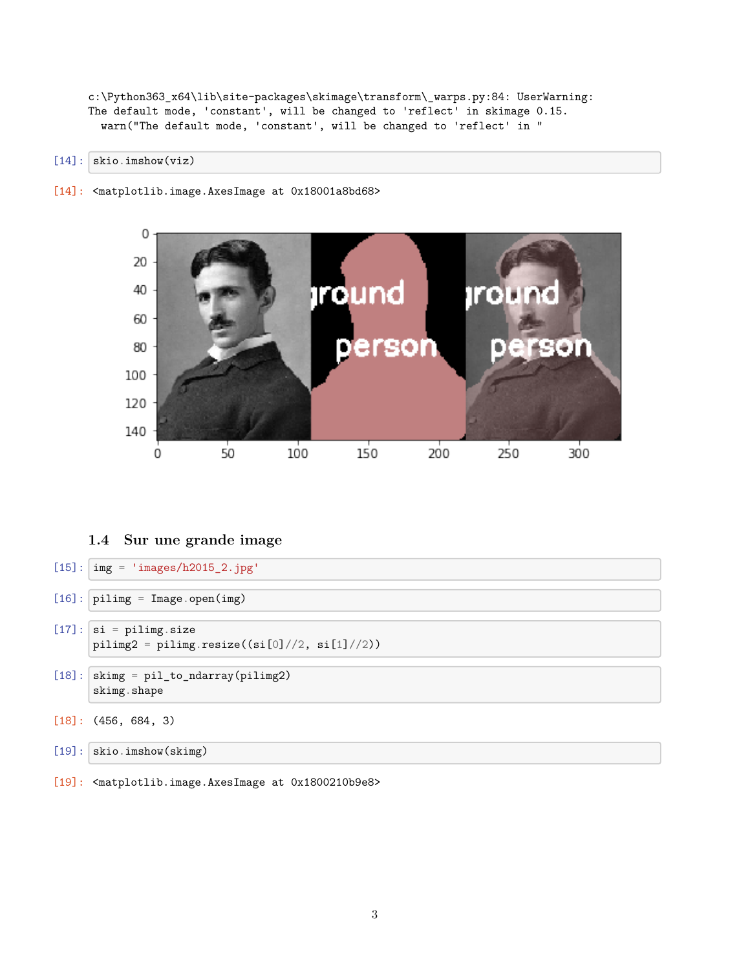c:\Python363\_x64\lib\site-packages\skimage\transform\\_warps.py:84: UserWarning: The default mode, 'constant', will be changed to 'reflect' in skimage 0.15. warn("The default mode, 'constant', will be changed to 'reflect' in "

[14]: skio.imshow(viz)

[14]: <matplotlib.image.AxesImage at 0x18001a8bd68>



#### **1.4 Sur une grande image**

- $[15]$ :  $\frac{1}{\text{img}}$  = 'images/h2015\_2.jpg'
- $[16]$ : pilimg = Image.open(img)
- $[17]$ :  $\vert$  si = pilimg.size  $piling2 = pilingresize((si[0]//2, si[1]//2))$
- $[18]$ : skimg = pil\_to\_ndarray(pilimg2) skimg.shape
- [18]: (456, 684, 3)
- [19]: skio.imshow(skimg)
- [19]: <matplotlib.image.AxesImage at 0x1800210b9e8>